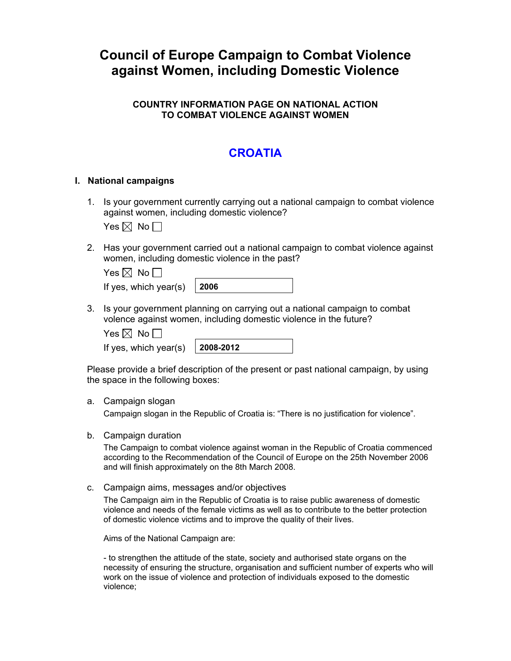# **Council of Europe Campaign to Combat Violence against Women, including Domestic Violence**

### **COUNTRY INFORMATION PAGE ON NATIONAL ACTION TO COMBAT VIOLENCE AGAINST WOMEN**

## **CROATIA**

#### **I. National campaigns**

1. Is your government currently carrying out a national campaign to combat violence against women, including domestic violence?

Yes  $\boxtimes$  No  $\Box$ 

2. Has your government carried out a national campaign to combat violence against women, including domestic violence in the past?

| Yes $\boxtimes$ No $\Box$          |  |
|------------------------------------|--|
| If yes, which year(s) $\vert$ 2006 |  |

3. Is your government planning on carrying out a national campaign to combat volence against women, including domestic violence in the future?

Yes  $\boxtimes$  No  $\Box$ 

If yes, which year(s) **2008-2012** 

Please provide a brief description of the present or past national campaign, by using the space in the following boxes:

#### a. Campaign slogan

Campaign slogan in the Republic of Croatia is: "There is no justification for violence".

b. Campaign duration

The Campaign to combat violence against woman in the Republic of Croatia commenced according to the Recommendation of the Council of Europe on the 25th November 2006 and will finish approximately on the 8th March 2008.

c. Campaign aims, messages and/or objectives

The Campaign aim in the Republic of Croatia is to raise public awareness of domestic violence and needs of the female victims as well as to contribute to the better protection of domestic violence victims and to improve the quality of their lives.

Aims of the National Campaign are:

- to strengthen the attitude of the state, society and authorised state organs on the necessity of ensuring the structure, organisation and sufficient number of experts who will work on the issue of violence and protection of individuals exposed to the domestic violence;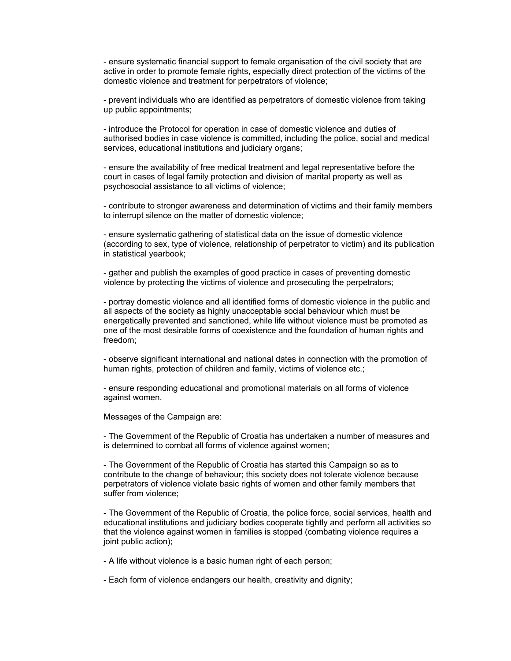- ensure systematic financial support to female organisation of the civil society that are active in order to promote female rights, especially direct protection of the victims of the domestic violence and treatment for perpetrators of violence;

- prevent individuals who are identified as perpetrators of domestic violence from taking up public appointments;

- introduce the Protocol for operation in case of domestic violence and duties of authorised bodies in case violence is committed, including the police, social and medical services, educational institutions and judiciary organs;

- ensure the availability of free medical treatment and legal representative before the court in cases of legal family protection and division of marital property as well as psychosocial assistance to all victims of violence;

- contribute to stronger awareness and determination of victims and their family members to interrupt silence on the matter of domestic violence;

- ensure systematic gathering of statistical data on the issue of domestic violence (according to sex, type of violence, relationship of perpetrator to victim) and its publication in statistical yearbook;

- gather and publish the examples of good practice in cases of preventing domestic violence by protecting the victims of violence and prosecuting the perpetrators;

- portray domestic violence and all identified forms of domestic violence in the public and all aspects of the society as highly unacceptable social behaviour which must be energetically prevented and sanctioned, while life without violence must be promoted as one of the most desirable forms of coexistence and the foundation of human rights and freedom;

- observe significant international and national dates in connection with the promotion of human rights, protection of children and family, victims of violence etc.;

- ensure responding educational and promotional materials on all forms of violence against women.

Messages of the Campaign are:

- The Government of the Republic of Croatia has undertaken a number of measures and is determined to combat all forms of violence against women;

- The Government of the Republic of Croatia has started this Campaign so as to contribute to the change of behaviour; this society does not tolerate violence because perpetrators of violence violate basic rights of women and other family members that suffer from violence;

- The Government of the Republic of Croatia, the police force, social services, health and educational institutions and judiciary bodies cooperate tightly and perform all activities so that the violence against women in families is stopped (combating violence requires a joint public action);

- A life without violence is a basic human right of each person;

- Each form of violence endangers our health, creativity and dignity;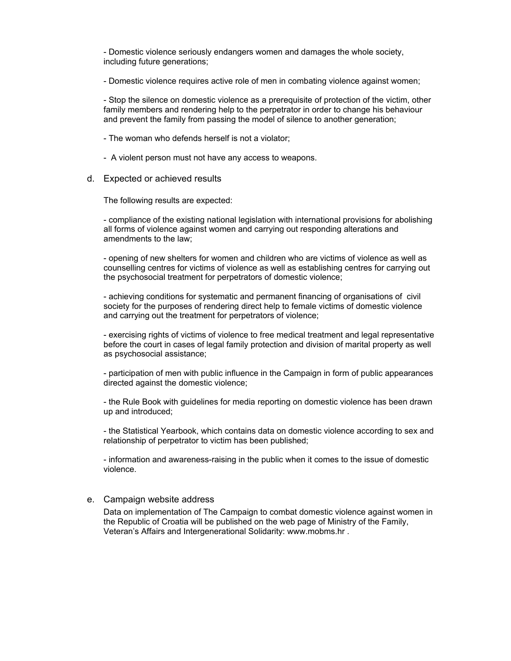- Domestic violence seriously endangers women and damages the whole society, including future generations;

- Domestic violence requires active role of men in combating violence against women;

- Stop the silence on domestic violence as a prerequisite of protection of the victim, other family members and rendering help to the perpetrator in order to change his behaviour and prevent the family from passing the model of silence to another generation;

- The woman who defends herself is not a violator;
- A violent person must not have any access to weapons.
- d. Expected or achieved results

The following results are expected:

- compliance of the existing national legislation with international provisions for abolishing all forms of violence against women and carrying out responding alterations and amendments to the law;

- opening of new shelters for women and children who are victims of violence as well as counselling centres for victims of violence as well as establishing centres for carrying out the psychosocial treatment for perpetrators of domestic violence;

- achieving conditions for systematic and permanent financing of organisations of civil society for the purposes of rendering direct help to female victims of domestic violence and carrying out the treatment for perpetrators of violence;

- exercising rights of victims of violence to free medical treatment and legal representative before the court in cases of legal family protection and division of marital property as well as psychosocial assistance;

- participation of men with public influence in the Campaign in form of public appearances directed against the domestic violence;

- the Rule Book with guidelines for media reporting on domestic violence has been drawn up and introduced;

- the Statistical Yearbook, which contains data on domestic violence according to sex and relationship of perpetrator to victim has been published;

- information and awareness-raising in the public when it comes to the issue of domestic violence.

#### e. Campaign website address

Data on implementation of The Campaign to combat domestic violence against women in the Republic of Croatia will be published on the web page of Ministry of the Family, Veteran's Affairs and Intergenerational Solidarity: www.mobms.hr .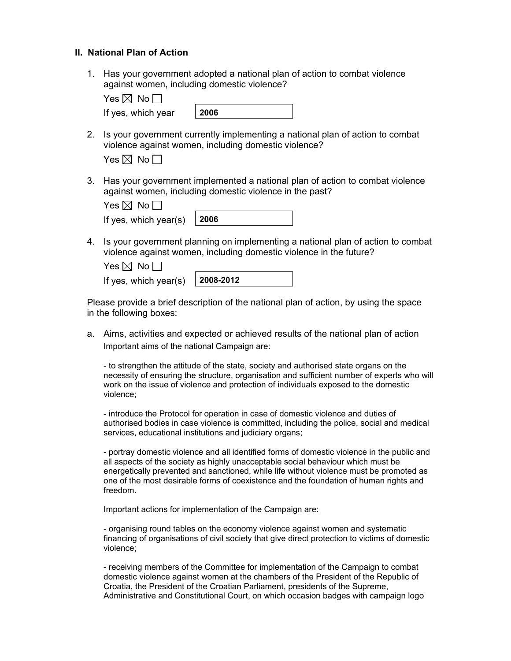#### **II. National Plan of Action**

1. Has your government adopted a national plan of action to combat violence against women, including domestic violence?

| Yes $\boxtimes$ No $\ulcorner$ |  |  |
|--------------------------------|--|--|
|                                |  |  |

| 2006<br>If yes, which year |
|----------------------------|
|----------------------------|

2. Is your government currently implementing a national plan of action to combat violence against women, including domestic violence?

| es $\mathbb{X}$ | No. |  |
|-----------------|-----|--|
|-----------------|-----|--|

3. Has your government implemented a national plan of action to combat violence against women, including domestic violence in the past?

| Yes $\boxtimes$ No $\Box$ I        |  |
|------------------------------------|--|
| If yes, which year(s) $\vert$ 2006 |  |

4. Is your government planning on implementing a national plan of action to combat violence against women, including domestic violence in the future?

| Yes $\boxtimes$ No $\Box$ |              |
|---------------------------|--------------|
| If yes, which year(s)     | $ 2008-2012$ |

Please provide a brief description of the national plan of action, by using the space in the following boxes:

a. Aims, activities and expected or achieved results of the national plan of action Important aims of the national Campaign are:

- to strengthen the attitude of the state, society and authorised state organs on the necessity of ensuring the structure, organisation and sufficient number of experts who will work on the issue of violence and protection of individuals exposed to the domestic violence;

- introduce the Protocol for operation in case of domestic violence and duties of authorised bodies in case violence is committed, including the police, social and medical services, educational institutions and judiciary organs;

- portray domestic violence and all identified forms of domestic violence in the public and all aspects of the society as highly unacceptable social behaviour which must be energetically prevented and sanctioned, while life without violence must be promoted as one of the most desirable forms of coexistence and the foundation of human rights and freedom.

Important actions for implementation of the Campaign are:

- organising round tables on the economy violence against women and systematic financing of organisations of civil society that give direct protection to victims of domestic violence;

- receiving members of the Committee for implementation of the Campaign to combat domestic violence against women at the chambers of the President of the Republic of Croatia, the President of the Croatian Parliament, presidents of the Supreme, Administrative and Constitutional Court, on which occasion badges with campaign logo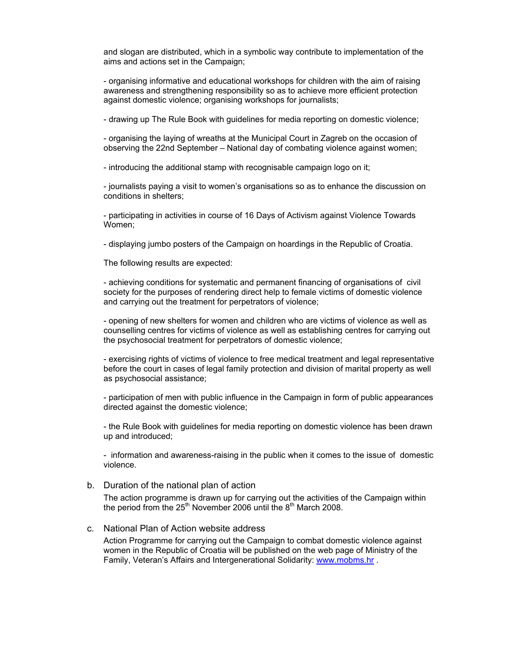and slogan are distributed, which in a symbolic way contribute to implementation of the aims and actions set in the Campaign;

- organising informative and educational workshops for children with the aim of raising awareness and strengthening responsibility so as to achieve more efficient protection against domestic violence; organising workshops for journalists;

- drawing up The Rule Book with guidelines for media reporting on domestic violence;

- organising the laying of wreaths at the Municipal Court in Zagreb on the occasion of observing the 22nd September – National day of combating violence against women;

- introducing the additional stamp with recognisable campaign logo on it;

- journalists paying a visit to women's organisations so as to enhance the discussion on conditions in shelters;

- participating in activities in course of 16 Days of Activism against Violence Towards Women;

- displaying jumbo posters of the Campaign on hoardings in the Republic of Croatia.

The following results are expected:

- achieving conditions for systematic and permanent financing of organisations of civil society for the purposes of rendering direct help to female victims of domestic violence and carrying out the treatment for perpetrators of violence;

- opening of new shelters for women and children who are victims of violence as well as counselling centres for victims of violence as well as establishing centres for carrying out the psychosocial treatment for perpetrators of domestic violence;

- exercising rights of victims of violence to free medical treatment and legal representative before the court in cases of legal family protection and division of marital property as well as psychosocial assistance;

- participation of men with public influence in the Campaign in form of public appearances directed against the domestic violence;

- the Rule Book with guidelines for media reporting on domestic violence has been drawn up and introduced;

- information and awareness-raising in the public when it comes to the issue of domestic violence.

b. Duration of the national plan of action

The action programme is drawn up for carrying out the activities of the Campaign within the period from the  $25<sup>th</sup>$  November 2006 until the  $8<sup>th</sup>$  March 2008.

c. National Plan of Action website address

Action Programme for carrying out the Campaign to combat domestic violence against women in the Republic of Croatia will be published on the web page of Ministry of the Family, Veteran's Affairs and Intergenerational Solidarity: [www.mobms.hr](http://www.mobms.hr/) .